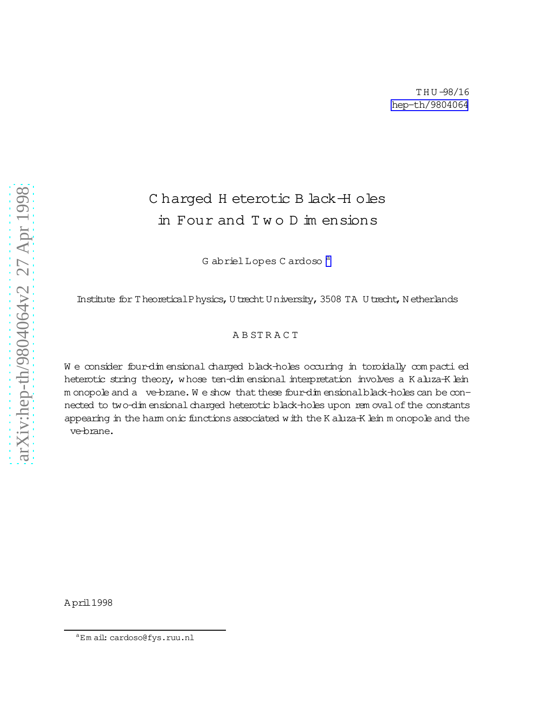## Charged H eterotic B lack H oles in Four and Two D im ensions

G abriel Lopes C ardoso<sup>a</sup>

Institute for Theoretical Physics, U trecht U niversity, 3508 TA U trecht, N etherlands

## ABSTRACT

We consider four-dimensional charged black-holes occuring in toroidally compactied heterotic string theory, whose ten-dimensional interpretation involves a Kaluza-K lein m onopole and a ve-brane. We show that these four-dim ensional black-holes can be connected to two-dimensional charged heterotic black-holes upon removal of the constants appearing in the ham onic functions associated with the K aluza-K lein m onopole and the ve-brane.

<sup>&</sup>lt;sup>a</sup>Email: cardoso@fys.ruu.nl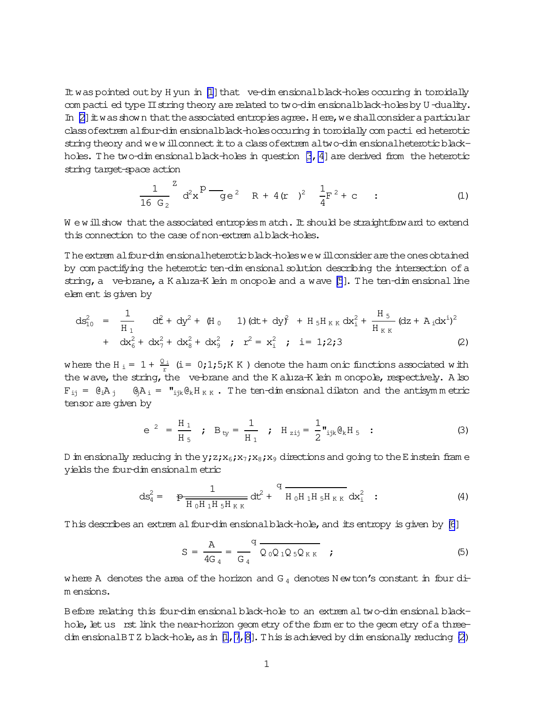<span id="page-1-0"></span>It was pointed out by H yun in [1] that ve-dim ensional black-holes occurring in toroidally com pacti ed type II string theory are related to two-dim ensional black-holes by U-duality. In  $[2]$  it was shown that the associated entropies agree. Here, we shall consider a particular class of extrem al four-dim ensional black-holes occuring in toroidally compacti ed heterotic string theory and we will connect it to a class of extrem altwo-dim ensional heterotic blackholes. The two-dim ensional black-holes in question  $\beta$ , 4] are derived from the heterotic string target-space action

$$
\frac{1}{16 G_2}^Z d^2 x^D - g e^2 R + 4(r)^2 \frac{1}{4} F^2 + c
$$
 (1)

We will show that the associated entropies m atch. It should be straightforw ard to extend this connection to the case of non-extrem alblack-holes.

The extrem al four-dim ensional heterotic black-holes we will consider are the ones obtained by compactifying the heterotic ten-dimensional solution describing the intersection of a string, a ve-brane, a K aluza-K lein m onopole and a wave [5]. The ten-dim ensional line element is given by

$$
ds_{10}^{2} = \frac{1}{H_{1}} dt^{2} + dy^{2} + (H_{0} 1) (dt + dy)^{2} + H_{5}H_{KK} dx_{i}^{2} + \frac{H_{5}}{H_{KK}} (dz + A_{i}dx^{i})^{2} + dx_{6}^{2} + dx_{7}^{2} + dx_{8}^{2} + dx_{9}^{2} ; r^{2} = x_{i}^{2} ; i = 1;2;3
$$
\n(2)

where the H<sub>i</sub> = 1 +  $\frac{Q_i}{r}$  (i = 0;1;5;K K) denote the ham onic functions associated with the wave, the string, the ve-brane and the K aluza-K lein m onopole, respectively. A lso  $F_{i,j} = \theta_i A_j$   $\theta_j A_i = \mathbf{I}_{ijk} \theta_k H_{K,K}$ . The ten-dim ensional dilaton and the antisymm etric tensor are given by

$$
e^{2} = \frac{H_1}{H_5}
$$
;  $B_{ty} = \frac{1}{H_1}$ ;  $H_{zij} = \frac{1}{2} \mathbf{v}_{ijk} \mathbf{\theta}_k \mathbf{H}_5$  : (3)

D in ensionally reducing in the y; z; x<sub>6</sub>; x<sub>7</sub>; x<sub>8</sub>; x<sub>9</sub> directions and going to the E instein frame yields the four-dim ensional metric

$$
ds_{4}^{2} = \frac{1}{H_{0}H_{1}H_{5}H_{KK}} dt^{2} + \frac{q}{H_{0}H_{1}H_{5}H_{KK}} dx_{i}^{2}
$$
 (4)

This describes an extrem al four-dim ensional black-hole, and its entropy is given by [6]

$$
S = \frac{A}{4G_4} = \frac{q}{G_4} \frac{Q_0 Q_1 Q_5 Q_{KK}}{Q_0 Q_1 Q_5 Q_{KK}} \t{;}
$$
 (5)

where A denotes the area of the horizon and  $G_4$  denotes N ewton's constant in four dim ensions.

Before relating this four-dimensional black-hole to an extremal two-dimensional blackhole, let us rst link the near-horizon geom etry of the form er to the geom etry of a threedim ensional BTZ black-hole, as in  $[1, 7, 8]$ . This is achieved by dim ensionally reducing (2)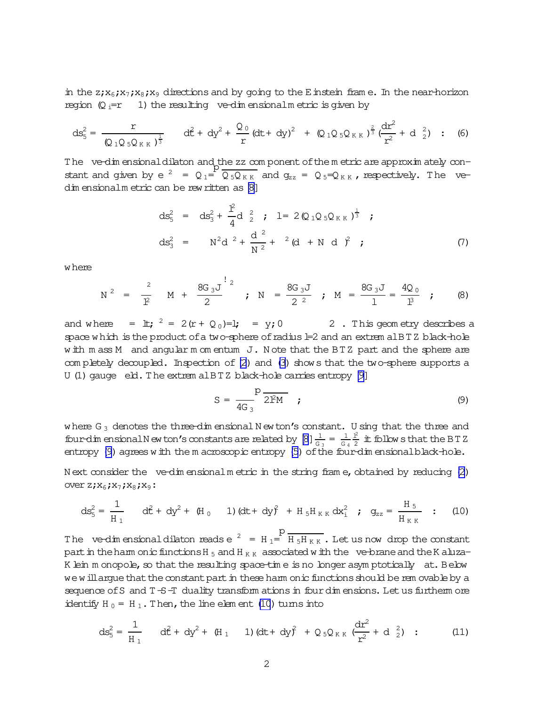<span id="page-2-0"></span>in the  $z_jx_6; x_jx_8; x_9$  directions and by going to the Einstein fram e. In the near-horizon region  $(Q_i = r - 1)$  the resulting ve-dim ensionalm etric is given by

$$
ds_{5}^{2} = \frac{r}{(Q_{1}Q_{5}Q_{KK})^{\frac{1}{3}}} \quad d\hat{t} + dy^{2} + \frac{Q_{0}}{r}(dt + dy)^{2} + (Q_{1}Q_{5}Q_{KK})^{\frac{2}{3}}(\frac{dr^{2}}{r^{2}} + d_{2}^{2}) : (6)
$$

The ve-dim ensional dilaton and the zz com ponent of the m etric are approxim ately constant and given by  $e^2 = Q_1 =$  $\overline{Q_5Q_{KK}}$  and  $g_{zz}$  =  $Q_5 = Q_{KK}$ , respectively. The ve-dim ensionalm etric can be rew ritten as [\[8\]](#page-5-0)

$$
ds_{5}^{2} = ds_{3}^{2} + \frac{1^{2}}{4}d_{2}^{2} ; \quad l = 2(Q_{1}Q_{5}Q_{KK})^{\frac{1}{3}} ;
$$
  

$$
ds_{3}^{2} = N^{2}d_{2}^{2} + \frac{d_{2}^{2}}{N^{2}} + 2(d_{1}N_{d}^{2}) ;
$$
 (7)

where

$$
N^2 = \frac{2}{1^2} M + \frac{8G_3 J}{2}
$$
;  $N = \frac{8G_3 J}{2^2}$ ;  $M = \frac{8G_3 J}{1} = \frac{4Q_0}{1^3}$ ; (8)

and where =  $\pm$ ;  $^2 = 2(r + Q_0) = 1$ ; = y; 0 2. This geometry describes a space which is the product of a two-sphere of radius  $\pm 2$  and an extrem alBTZ black-hole with m ass M and angular m om entum J. Note that the BTZ part and the sphere are com pletely decoupled. Inspection of [\(2](#page-1-0)) and [\(3\)](#page-1-0) shows that the two-sphere supports a U (1) gauge  $e$  eld. The extrem alBTZ black-hole carries entropy  $[9]$ 

$$
S = \frac{P}{4G_3} \frac{\overline{P}}{2PM} \qquad (9)
$$

where  $G_3$  denotes the three-dim ensional N ewton's constant. U sing that the three and four-dim ensional N ew ton's constants are related by  $[8] \frac{1}{G_3} = \frac{1}{G_3}$ G 4  $1<sup>2</sup>$  $\frac{12}{2}$  it follows that the BTZ entropy (9) agrees with the m acroscopic entropy [\(5](#page-1-0)) of the four-dim ensionalblack-hole.

N ext consider the ve-dim ensionalm etric in the string frame, obtained by reducing  $(2)$ over $z; x_6; x_7; x_8; x_9$ :

$$
ds_5^2 = \frac{1}{H_1} \quad d\hat{t} + dy^2 + (H_0 \quad 1) (dt + dy^2 + H_5 H_{KK} dx_1^2 \; ; \; g_{zz} = \frac{H_5}{H_{KK}} \; ; \; (10)
$$

The ve-dim ensional dilaton reads e  $^2$  = H<sub>1</sub>=<sup>p</sup>  $H_5H_{KK}$  . Let us now drop the constant part in the harm onic functions H  $_5$  and H  $_{K K}$  associated with the ve-brane and the K aluza-K lein m onopole, so that the resulting space-time is no longer asym ptotically at. Below we will argue that the constant part in these harm onic functions should be rem ovable by a sequence of S and  $T-S-T$  duality transform ations in four dim ensions. Let us furtherm ore identify H  $_0$  = H  $_1$ . Then, the line elem ent (10) turns into

$$
ds_5^2 = \frac{1}{H_1} \quad d\hat{t} + dy^2 + (H_1 \quad 1) (dt + dy^2 + Q_5 Q_{KK} ( \frac{dr^2}{r^2} + d_{2}^2 ) \quad ; \tag{11}
$$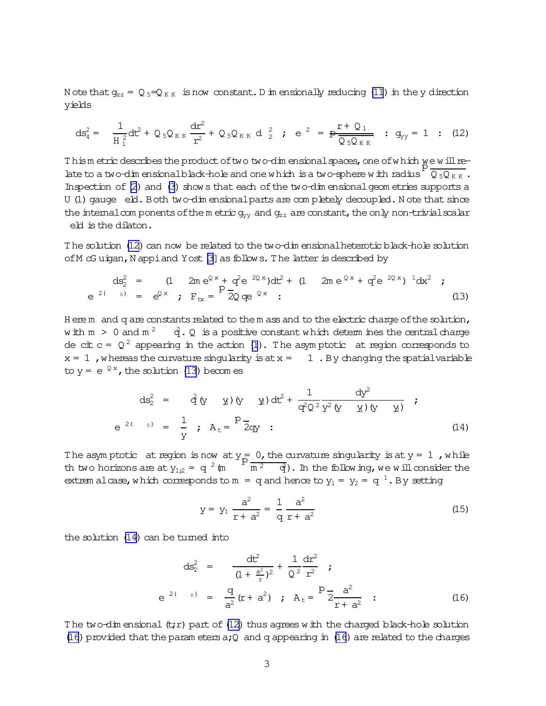<span id="page-3-0"></span>N ote that  $g_{zz} = Q_5 = Q_{KK}$  is now constant. D in ensionally reducing (11) in the y direction vields

$$
ds_4^2 = \frac{1}{H_1^2} dt^2 + Q_5 Q_{KK} \frac{dr^2}{r^2} + Q_5 Q_{KK} d_2^2; e^2 = P \frac{r + Q_1}{Q_5 Q_{KK}}; g_{yy} = 1
$$
 (12)

Thism etric describes the product of two two-dim ensional spaces, one of which we will relate to a two-dim ensional black-hole and one which is a two-sphere with radius  $\sqrt{Q_5Q_{KK}}$ . Inspection of (2) and (3) shows that each of the two-dim ensional geom etries supports a U (1) gauge eld. Both two-dimensional parts are completely decoupled. Note that since the internal com ponents of the metric  $g_{yy}$  and  $g_{zz}$  are constant, the only non-trivial scalar eld is the dilaton.

The solution (12) can now be related to the two-dim ensional heterotic black-hole solution of M G uigan, N appi and Y ost [3] as follows. The latter is described by

$$
ds_2^2 = (1 \t 2m e^{Qx} + q^2 e^{2Qx}) dt^2 + (1 \t 2m e^{Qx} + q^2 e^{2Qx})^{1} dx^2 ;
$$
  
\n
$$
e^{2(-0)} = e^{Qx} ; F_{tx} = 2Q e^{Qx} ;
$$
 (13)

Here m and q are constants related to the m ass and to the electric charge of the solution, with  $m > 0$  and  $m^2$   $\dot{q}$ . Q is a positive constant which determines the central charge de cit  $c = Q^2$  appearing in the action (1). The asymptotic at region corresponds to  $x = 1$ , whereas the curvature singularity is at  $x = 1$ . By changing the spatial variable to  $y = e^{Qx}$ , the solution (13) becomes

$$
ds_{2}^{2} = \hat{q}(y \ y) (y \ y) dt^{2} + \frac{1}{q^{2} Q^{2}} \frac{dy^{2}}{y^{2} (y \ y) (y \ y)}
$$
 ;  

$$
e^{2(y \ y)} = \frac{1}{y} \ ; A_{t} = \frac{P}{2q}.
$$
 (14)

The asymptotic at region is now at  $y = 0$ , the curvature singularity is at  $y = 1$ , while<br>th two horizons are at  $y_{1,2} = q^2$  (m  $\frac{p}{m^2} = \frac{q}{q}$ ). In the following, we will consider the extrem alcase, which corresponds to m = q and hence to  $y_1 = y_2 = q^{-1}$ . By setting

$$
y = y_1 \frac{a^2}{r + a^2} = \frac{1}{q} \frac{a^2}{r + a^2}
$$
 (15)

the solution (14) can be turned into

$$
ds_{2}^{2} = \frac{dt^{2}}{(1 + \frac{a^{2}}{r})^{2}} + \frac{1}{Q^{2}} \frac{dr^{2}}{r^{2}};
$$
\n
$$
e^{2(-0)} = \frac{q}{a^{2}}(r + a^{2}); A_{t} = \frac{p}{2} \frac{a^{2}}{r + a^{2}};
$$
\n(16)

The two-dim ensional  $(t; r)$  part of (12) thus agrees with the charged black-hole solution (16) provided that the parameters  $a$ ; Q and q appearing in (16) are related to the charges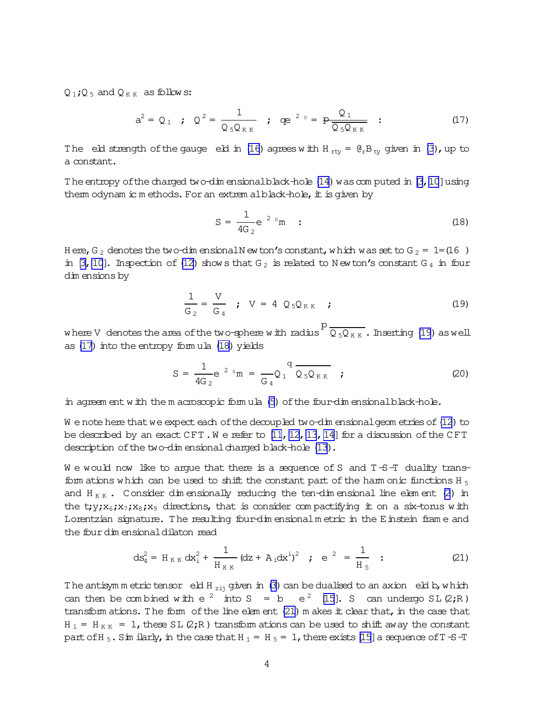Q<sub>1</sub>; Q<sub>5</sub> and Q<sub>KK</sub> as follows:

$$
a^{2} = Q_{1} \quad ; \quad Q^{2} = \frac{1}{Q_{5}Q_{KK}} \quad ; \quad qe^{20} = p \frac{Q_{1}}{Q_{5}Q_{KK}} \quad ; \tag{17}
$$

The eld strength of the gauge eld in (16) agrees with H<sub>rv</sub> =  $\theta_{r}B_{\text{tv}}$  given in (3), up to a constant.

The entropy of the charged two-dim ensional black-hole (14) was computed in [3, 10] using them odynam ic methods. For an extrem alblack-hole, it is given by

$$
S = \frac{1}{4G_2} e^{-2 \theta} m
$$
 (18)

H ere, G<sub>2</sub> denotes the two-dim ensional N ew ton's constant, which was set to G<sub>2</sub> = 1=(16) in [3, 10]. Inspection of (12) shows that  $G_2$  is related to Newton's constant  $G_4$  in four dim ensions by

$$
\frac{1}{G_2} = \frac{V}{G_4} \quad ; \quad V = 4 \quad Q_5 Q_{KK} \quad ; \tag{19}
$$

where V denotes the area of the two-sphere with radius  $P \frac{P}{Q_{5}Q_{KK}}$ . Inserting (19) as well as (17) into the entropy formula (18) yields

$$
S = \frac{1}{4G_2} e^{-2 \theta} m = \frac{q}{G_4} Q_1^{\theta} \overline{Q_5 Q_{KK}} \quad ; \tag{20}
$$

in agreem ent with the m acroscopic formula (5) of the four-dimensional black-hole.

We note here that we expect each of the decoupled two-dim ensional geom etries of (12) to be described by an exact  $CFT$ . We refer to [11, 12, 13, 14] for a discussion of the CFT description of the two-dimensional charged black-hole (13).

We would now like to argue that there is a sequence of S and  $T-S-T$  duality transfom ations which can be used to shift the constant part of the ham onic functions H<sub>5</sub> and  $H_{KK}$ . Consider dimensionally reducing the ten-dimensional line element (2) in the t;y;x<sub>6</sub>;x<sub>7</sub>;x<sub>8</sub>;x<sub>9</sub> directions, that is consider compactifying it on a six-torus with Lorentzian signature. The resulting four-dim ensional metric in the E instein frame and the four dimensional dilaton read

$$
ds_4^2 = H_{KK} dx_1^2 + \frac{1}{H_{KK}} (dz + A_1 dx^1)^2 \quad \text{;} \quad e^{2} = \frac{1}{H_5} \quad \text{;} \tag{21}
$$

The antisymm etric tensor eld H<sub>zij</sub> given in (3) can be dualised to an axion eld b, which can then be combined with  $e^2$  into  $S = b e^2 [15]$ . S can undergo SL(2;R) transform ations. The form of the line element (21) m akes it clear that, in the case that  $H_1 = H_{KK} = 1$ , these SL (2;R) transform ations can be used to shift away the constant part of H<sub>5</sub>. Sim ilarly, in the case that H<sub>1</sub> = H<sub>5</sub> = 1, there exists [15] a sequence of T-S-T